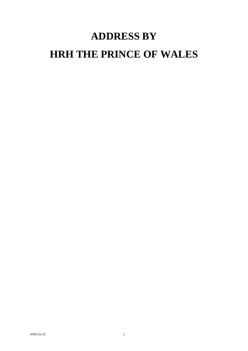## **ADDRESS BY HRH THE PRINCE OF WALES**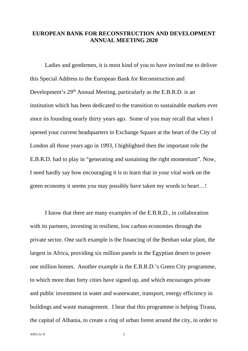## **EUROPEAN BANK FOR RECONSTRUCTION AND DEVELOPMENT ANNUAL MEETING 2020**

Ladies and gentlemen, it is most kind of you to have invited me to deliver this Special Address to the European Bank for Reconstruction and Development's 29<sup>th</sup> Annual Meeting, particularly as the E.B.R.D. is an institution which has been dedicated to the transition to sustainable markets ever since its founding nearly thirty years ago. Some of you may recall that when I opened your current headquarters in Exchange Square at the heart of the City of London all those years ago in 1993, I highlighted then the important role the E.B.R.D. had to play in "generating and sustaining the right momentum". Now, I need hardly say how encouraging it is to learn that in your vital work on the green economy it seems you may possibly have taken my words to heart…!

I know that there are many examples of the E.B.R.D., in collaboration with its partners, investing in resilient, low carbon economies through the private sector. One such example is the financing of the Benban solar plant, the largest in Africa, providing six million panels in the Egyptian desert to power one million homes. Another example is the E.B.R.D.'s Green City programme, to which more than forty cities have signed up, and which encourages private and public investment in water and wastewater, transport, energy efficiency in buildings and waste management. I hear that this programme is helping Tirana, the capital of Albania, to create a ring of urban forest around the city, in order to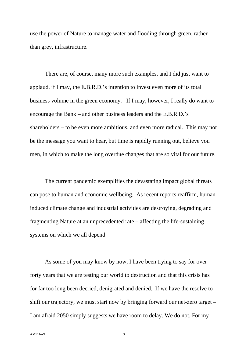use the power of Nature to manage water and flooding through green, rather than grey, infrastructure.

There are, of course, many more such examples, and I did just want to applaud, if I may, the E.B.R.D.'s intention to invest even more of its total business volume in the green economy. If I may, however, I really do want to encourage the Bank – and other business leaders and the E.B.R.D.'s shareholders – to be even more ambitious, and even more radical. This may not be the message you want to hear, but time is rapidly running out, believe you men, in which to make the long overdue changes that are so vital for our future.

The current pandemic exemplifies the devastating impact global threats can pose to human and economic wellbeing. As recent reports reaffirm, human induced climate change and industrial activities are destroying, degrading and fragmenting Nature at an unprecedented rate – affecting the life-sustaining systems on which we all depend.

As some of you may know by now, I have been trying to say for over forty years that we are testing our world to destruction and that this crisis has for far too long been decried, denigrated and denied. If we have the resolve to shift our trajectory, we must start now by bringing forward our net-zero target – I am afraid 2050 simply suggests we have room to delay. We do not. For my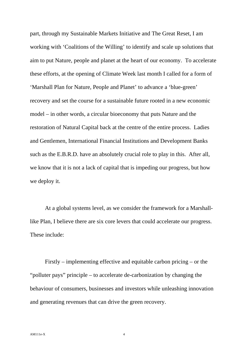part, through my Sustainable Markets Initiative and The Great Reset, I am working with 'Coalitions of the Willing' to identify and scale up solutions that aim to put Nature, people and planet at the heart of our economy. To accelerate these efforts, at the opening of Climate Week last month I called for a form of 'Marshall Plan for Nature, People and Planet' to advance a 'blue-green' recovery and set the course for a sustainable future rooted in a new economic model – in other words, a circular bioeconomy that puts Nature and the restoration of Natural Capital back at the centre of the entire process. Ladies and Gentlemen, International Financial Institutions and Development Banks such as the E.B.R.D. have an absolutely crucial role to play in this. After all, we know that it is not a lack of capital that is impeding our progress, but how we deploy it.

At a global systems level, as we consider the framework for a Marshalllike Plan, I believe there are six core levers that could accelerate our progress. These include:

Firstly – implementing effective and equitable carbon pricing – or the "polluter pays" principle – to accelerate de-carbonization by changing the behaviour of consumers, businesses and investors while unleashing innovation and generating revenues that can drive the green recovery.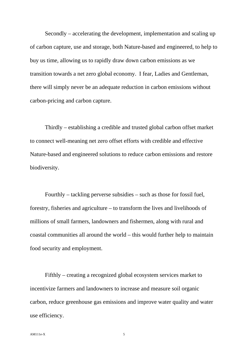Secondly – accelerating the development, implementation and scaling up of carbon capture, use and storage, both Nature-based and engineered, to help to buy us time, allowing us to rapidly draw down carbon emissions as we transition towards a net zero global economy. I fear, Ladies and Gentleman, there will simply never be an adequate reduction in carbon emissions without carbon-pricing and carbon capture.

Thirdly – establishing a credible and trusted global carbon offset market to connect well-meaning net zero offset efforts with credible and effective Nature-based and engineered solutions to reduce carbon emissions and restore biodiversity.

Fourthly – tackling perverse subsidies – such as those for fossil fuel, forestry, fisheries and agriculture – to transform the lives and livelihoods of millions of small farmers, landowners and fishermen, along with rural and coastal communities all around the world – this would further help to maintain food security and employment.

Fifthly – creating a recognized global ecosystem services market to incentivize farmers and landowners to increase and measure soil organic carbon, reduce greenhouse gas emissions and improve water quality and water use efficiency.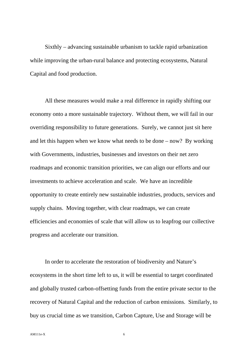Sixthly – advancing sustainable urbanism to tackle rapid urbanization while improving the urban-rural balance and protecting ecosystems, Natural Capital and food production.

All these measures would make a real difference in rapidly shifting our economy onto a more sustainable trajectory. Without them, we will fail in our overriding responsibility to future generations. Surely, we cannot just sit here and let this happen when we know what needs to be done – now? By working with Governments, industries, businesses and investors on their net zero roadmaps and economic transition priorities, we can align our efforts and our investments to achieve acceleration and scale. We have an incredible opportunity to create entirely new sustainable industries, products, services and supply chains. Moving together, with clear roadmaps, we can create efficiencies and economies of scale that will allow us to leapfrog our collective progress and accelerate our transition.

In order to accelerate the restoration of biodiversity and Nature's ecosystems in the short time left to us, it will be essential to target coordinated and globally trusted carbon-offsetting funds from the entire private sector to the recovery of Natural Capital and the reduction of carbon emissions. Similarly, to buy us crucial time as we transition, Carbon Capture, Use and Storage will be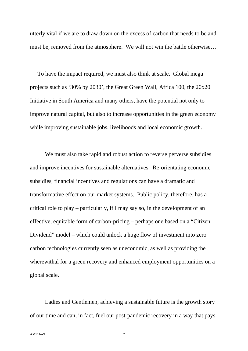utterly vital if we are to draw down on the excess of carbon that needs to be and must be, removed from the atmosphere. We will not win the battle otherwise…

To have the impact required, we must also think at scale. Global mega projects such as '30% by 2030', the Great Green Wall, Africa 100, the 20x20 Initiative in South America and many others, have the potential not only to improve natural capital, but also to increase opportunities in the green economy while improving sustainable jobs, livelihoods and local economic growth.

We must also take rapid and robust action to reverse perverse subsidies and improve incentives for sustainable alternatives. Re-orientating economic subsidies, financial incentives and regulations can have a dramatic and transformative effect on our market systems. Public policy, therefore, has a critical role to play – particularly, if I may say so, in the development of an effective, equitable form of carbon-pricing – perhaps one based on a "Citizen Dividend" model – which could unlock a huge flow of investment into zero carbon technologies currently seen as uneconomic, as well as providing the wherewithal for a green recovery and enhanced employment opportunities on a global scale.

Ladies and Gentlemen, achieving a sustainable future is the growth story of our time and can, in fact, fuel our post-pandemic recovery in a way that pays